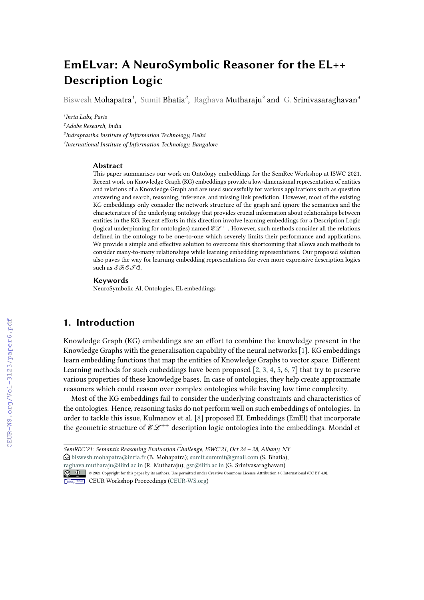# **EmELvar: A NeuroSymbolic Reasoner for the EL++ Description Logic**

Biswesh Mohapatra*<sup>1</sup>* , Sumit Bhatia*<sup>2</sup>* , Raghava Mutharaju*<sup>3</sup>* and G. Srinivasaraghavan*<sup>4</sup>*

 *Inria Labs, Paris Adobe Research, India Indraprastha Institute of Information Technology, Delhi International Institute of Information Technology, Bangalore*

#### **Abstract**

This paper summarises our work on Ontology embeddings for the SemRec Workshop at ISWC 2021. Recent work on Knowledge Graph (KG) embeddings provide a low-dimensional representation of entities and relations of a Knowledge Graph and are used successfully for various applications such as question answering and search, reasoning, inference, and missing link prediction. However, most of the existing KG embeddings only consider the network structure of the graph and ignore the semantics and the characteristics of the underlying ontology that provides crucial information about relationships between entities in the KG. Recent efforts in this direction involve learning embeddings for a Description Logic (logical underpinning for ontologies) named  $\mathscr{E}\mathscr{L}^{++}$ . However, such methods consider all the relations defined in the ontology to be one-to-one which severely limits their performance and applications. We provide a simple and effective solution to overcome this shortcoming that allows such methods to consider many-to-many relationships while learning embedding representations. Our proposed solution also paves the way for learning embedding representations for even more expressive description logics such as  $\mathcal{SROFA}$ .

#### **Keywords**

NeuroSymbolic AI, Ontologies, EL embeddings

### **1. Introduction**

Knowledge Graph (KG) embeddings are an effort to combine the knowledge present in the Knowledge Graphs with the generalisation capability of the neural networks [\[1\]](#page--1-0). KG embeddings learn embedding functions that map the entities of Knowledge Graphs to vector space. Different Learning methods for such embeddings have been proposed  $[2, 3, 4, 5, 6, 7]$  $[2, 3, 4, 5, 6, 7]$  $[2, 3, 4, 5, 6, 7]$  $[2, 3, 4, 5, 6, 7]$  $[2, 3, 4, 5, 6, 7]$  $[2, 3, 4, 5, 6, 7]$  $[2, 3, 4, 5, 6, 7]$  $[2, 3, 4, 5, 6, 7]$  $[2, 3, 4, 5, 6, 7]$  $[2, 3, 4, 5, 6, 7]$  that try to preserve various properties of these knowledge bases. In case of ontologies, they help create approximate reasoners which could reason over complex ontologies while having low time complexity.

Most of the KG embeddings fail to consider the underlying constraints and characteristics of the ontologies. Hence, reasoning tasks do not perform well on such embeddings of ontologies. In order to tackle this issue, Kulmanov et al. [\[8\]](#page--1-7) proposed EL Embeddings (EmEl) that incorporate the geometric structure of  $\mathcal{E}\mathcal{L}^{++}$  description logic ontologies into the embeddings. Mondal et

[raghava.mutharaju@iiitd.ac.in](mailto:raghava.mutharaju@iiitd.ac.in) (R. Mutharaju); [gsr@iiitb.ac.in](mailto:gsr@iiitb.ac.in) (G. Srinivasaraghavan)



CEUR Workshop [Proceedings](http://ceur-ws.org) [\(CEUR-WS.org\)](http://ceur-ws.org)

*SemREC'21: Semantic Reasoning Evaluation Challenge, ISWC'21, Oct 24 – 28, Albany, NY*

 $\bigcirc$  [biswesh.mohapatra@inria.fr](mailto:biswesh.mohapatra@inria.fr) (B. Mohapatra); [sumit.summit@gmail.com](mailto:sumit.summit@gmail.com) (S. Bhatia);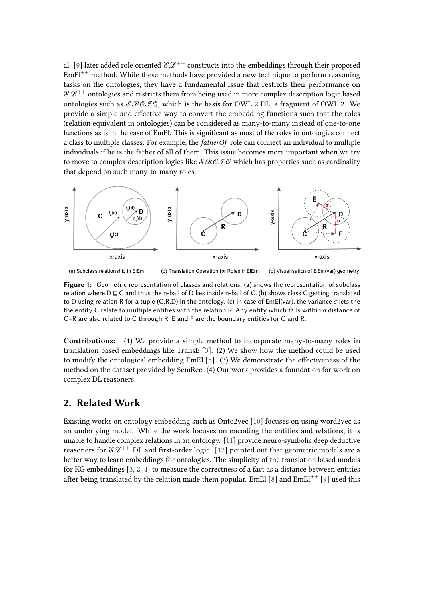al. [\[9\]](#page-6-0) later added role oriented  $\mathscr{E}\mathscr{L}^{++}$  constructs into the embeddings through their proposed  $EmEl^{++}$  method. While these methods have provided a new technique to perform reasoning tasks on the ontologies, they have a fundamental issue that restricts their performance on  $\mathcal{E}\mathcal{L}^{++}$  ontologies and restricts them from being used in more complex description logic based ontologies such as  $\mathcal{SROFG}$ , which is the basis for OWL 2 DL, a fragment of OWL 2. We provide a simple and effective way to convert the embedding functions such that the roles (relation equivalent in ontologies) can be considered as many-to-many instead of one-to-one functions as is in the case of EmEl. This is significant as most of the roles in ontologies connect a class to multiple classes. For example, the *fatherOf* role can connect an individual to multiple individuals if he is the father of all of them. This issue becomes more important when we try to move to complex description logics like  $\mathcal{SROFQ}$  which has properties such as cardinality that depend on such many-to-many roles.



<span id="page-1-0"></span>(a) Subclass relationship in ElEm (b) Translation Operation for Roles in ElEm (c) Visualisation of ElEm(var) geometry

**Figure 1:** Geometric representation of classes and relations. (a) shows the representation of subclass relation where  $D \sqsubseteq C$  and thus the n-ball of D lies inside n-ball of C. (b) shows class C getting translated to D using relation R for a tuple (C,R,D) in the ontology. (c) In case of EmEl(var), the variance  $\sigma$  lets the the entity C relate to multiple entities with the relation R. Any entity which falls within  $\sigma$  distance of C+R are also related to C through R. E and F are the boundary entities for C and R.

**Contributions:** (1) We provide a simple method to incorporate many-to-many roles in translation based embeddings like TransE [\[3\]](#page-6-1). (2) We show how the method could be used to modify the ontological embedding EmEl [\[8\]](#page-6-2). (3) We demonstrate the effectiveness of the method on the dataset provided by SemRec. (4) Our work provides a foundation for work on complex DL reasoners.

## **2. Related Work**

Existing works on ontology embedding such as Onto2vec [\[10\]](#page-6-3) focuses on using word2vec as an underlying model. While the work focuses on encoding the entities and relations, it is unable to handle complex relations in an ontology. [\[11\]](#page-6-4) provide neuro-symbolic deep deductive reasoners for  $\mathscr{E} \mathscr{L}^{++}$  DL and first-order logic. [\[12\]](#page-6-5) pointed out that geometric models are a better way to learn embeddings for ontologies. The simplicity of the translation based models for KG embeddings [\[3,](#page-6-1) [2,](#page-6-6) [4\]](#page-6-7) to measure the correctness of a fact as a distance between entities after being translated by the relation made them popular. EmEl [\[8\]](#page-6-2) and  $EmEl^{++}$  [\[9\]](#page-6-0) used this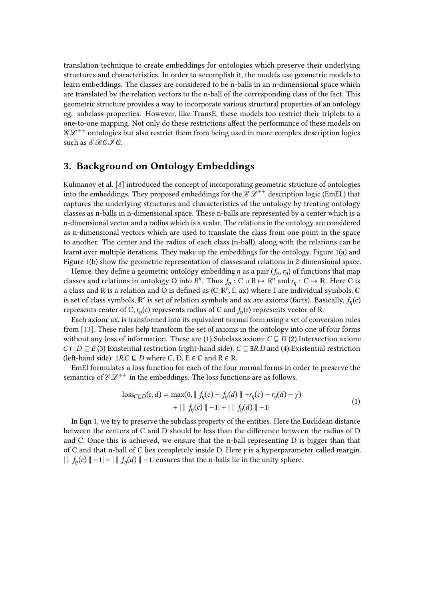translation technique to create embeddings for ontologies which preserve their underlying structures and characteristics. In order to accomplish it, the models use geometric models to learn embeddings. The classes are considered to be n-balls in an n-dimensional space which are translated by the relation vectors to the n-ball of the corresponding class of the fact. This geometric structure provides a way to incorporate various structural properties of an ontology eg. subclass properties. However, like TransE, these models too restrict their triplets to a one-to-one mapping. Not only do these restrictions affect the performance of these models on  $\mathscr{E}\mathscr{L}^{++}$  ontologies but also restrict them from being used in more complex description logics such as  $\mathcal{SRO}$  .

## <span id="page-2-1"></span>**3. Background on Ontology Embeddings**

Kulmanov et al. [\[8\]](#page-6-2) introduced the concept of incorporating geometric structure of ontologies into the embeddings. They proposed embeddings for the  $\mathcal{E}\mathcal{L}^{++}$  description logic (EmEL) that captures the underlying structures and characteristics of the ontology by treating ontology classes as n-balls in n-dimensional space. These n-balls are represented by a center which is a n-dimensional vector and a radius which is a scalar. The relations in the ontology are considered as n-dimensional vectors which are used to translate the class from one point in the space to another. The center and the radius of each class (n-ball), along with the relations can be learnt over multiple iterations. They make up the embeddings for the ontology. Figure [1\(](#page-1-0)a) and Figure [1\(](#page-1-0)b) show the geometric representation of classes and relations in 2-dimensional space.

Hence, they define a geometric ontology embedding  $\eta$  as a pair  $(f_\eta, r_\eta)$  of functions that map classes and relations in ontology O into  $R^n$ . Thus  $f_\eta: C \cup R \mapsto \mathbb{R}^n$  and  $r_\eta: C \mapsto \mathbb{R}$ . Here C is a class and R is a relation and O is defined as (C,  $\mathbb{R}', \mathbb{I}$ ; ax) where I are individual symbols, C is set of class symbols,  $\mathbb{R}'$  is set of relation symbols and ax are axioms (facts). Basically,  $f_{\eta}(c)$ represents center of C,  $r_{\eta}(c)$  represents radius of C and  $f_{\eta}(r)$  represents vector of R.

Each axiom, ax, is transformed into its equivalent normal form using a set of conversion rules from [\[13\]](#page-6-8). These rules help transform the set of axioms in the ontology into one of four forms without any loss of information. These are (1) Subclass axiom:  $C \sqsubseteq D(2)$  Intersection axiom:  $C \sqcap D \sqsubseteq E$  (3) Existential restriction (right-hand side):  $C \sqsubseteq \exists R.D$  and (4) Existential restriction (left-hand side):  $\exists R.C \sqsubseteq D$  where C, D, E  $\in \mathbb{C}$  and  $R \in \mathbb{R}$ .

EmEl formulates a loss function for each of the four normal forms in order to preserve the semantics of  $\mathcal{E}\mathcal{L}^{++}$  in the embeddings. The loss functions are as follows.

<span id="page-2-0"></span>
$$
\begin{aligned} \text{loss}_{C \sqsubseteq D}(c, d) &= \max(0, \| \ f_{\eta}(c) - f_{\eta}(d) \| + r_{\eta}(c) - r_{\eta}(d) - \gamma) \\ &+ \| \ f_{\eta}(c) \| - 1 | + \| \ f_{\eta}(d) \| - 1 | \end{aligned} \tag{1}
$$

In Eqn [1,](#page-2-0) we try to preserve the subclass property of the entities. Here the Euclidean distance between the centers of C and D should be less than the difference between the radius of D and C. Once this is achieved, we ensure that the n-ball representing D is bigger than that of C and that n-ball of C lies completely inside D. Here  $\gamma$  is a hyperparameter called margin. | ∥  $f_{\eta}(c)$  ∥ −1| + | ∥  $f_{\eta}(d)$  ∥ −1| ensures that the n-balls lie in the unity sphere.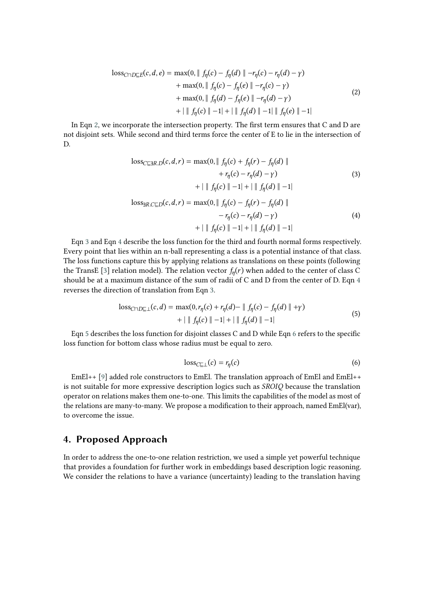<span id="page-3-0"></span>
$$
\begin{aligned} \text{loss}_{C \cap D \subseteq E}(c, d, e) &= \max(0, \| f_{\eta}(c) - f_{\eta}(d) \| - r_{\eta}(c) - r_{\eta}(d) - \gamma) \\ &+ \max(0, \| f_{\eta}(c) - f_{\eta}(e) \| - r_{\eta}(c) - \gamma) \\ &+ \max(0, \| f_{\eta}(d) - f_{\eta}(e) \| - r_{\eta}(d) - \gamma) \\ &+ \| f_{\eta}(c) \| - 1 \| + \| f_{\eta}(d) \| - 1 \| f_{\eta}(e) \| - 1 | \end{aligned} \tag{2}
$$

In Eqn [2,](#page-3-0) we incorporate the intersection property. The first term ensures that C and D are not disjoint sets. While second and third terms force the center of E to lie in the intersection of D.

<span id="page-3-2"></span><span id="page-3-1"></span>
$$
\begin{aligned}\n\text{loss}_{C \subseteq 3R.D}(c, d, r) &= \max(0, \|f_{\eta}(c) + f_{\eta}(r) - f_{\eta}(d) \| \\
&\quad + r_{\eta}(c) - r_{\eta}(d) - \gamma) \\
&\quad + \|f_{\eta}(c) \| - 1| + \|f_{\eta}(d) \| - 1|\n\end{aligned} \tag{3}
$$
\n
$$
\text{loss}_{3R.C \subseteq D}(c, d, r) = \max(0, \|f_{\eta}(c) - f_{\eta}(r) - f_{\eta}(d) \| \\
&\quad - r_{\eta}(c) - r_{\eta}(d) - \gamma) \\
&\quad + \|f_{\eta}(c) \| - 1| + \|f_{\eta}(d) \| - 1|\n\end{aligned}
$$

Eqn [3](#page-3-1) and Eqn [4](#page-3-2) describe the loss function for the third and fourth normal forms respectively. Every point that lies within an n-ball representing a class is a potential instance of that class. The loss functions capture this by applying relations as translations on these points (following the TransE [\[3\]](#page-6-1) relation model). The relation vector  $f_{\eta}(r)$  when added to the center of class C should be at a maximum distance of the sum of radii of C and D from the center of D. Eqn [4](#page-3-2) reverses the direction of translation from Eqn [3.](#page-3-1)

<span id="page-3-3"></span>
$$
\begin{aligned} \text{loss}_{C \sqcap D \sqsubseteq \perp}(c, d) &= \max(0, r_{\eta}(c) + r_{\eta}(d) - \|f_{\eta}(c) - f_{\eta}(d) \| + \gamma) \\ &+ \|f_{\eta}(c) \| - 1| + \|f_{\eta}(d) \| - 1| \end{aligned} \tag{5}
$$

Eqn [5](#page-3-3) describes the loss function for disjoint classes C and D while Eqn [6](#page-3-4) refers to the specific loss function for bottom class whose radius must be equal to zero.

<span id="page-3-4"></span>
$$
loss_{C \sqsubseteq \perp}(c) = r_{\eta}(c) \tag{6}
$$

 $EmEl++$  [\[9\]](#page-6-0) added role constructors to EmEl. The translation approach of EmEl and EmEl++ is not suitable for more expressive description logics such as  $SROIQ$  because the translation operator on relations makes them one-to-one. This limits the capabilities of the model as most of the relations are many-to-many. We propose a modification to their approach, named EmEl(var), to overcome the issue.

### **4. Proposed Approach**

In order to address the one-to-one relation restriction, we used a simple yet powerful technique that provides a foundation for further work in embeddings based description logic reasoning. We consider the relations to have a variance (uncertainty) leading to the translation having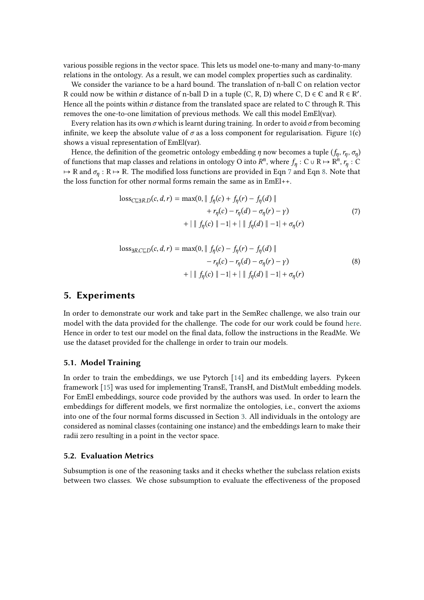various possible regions in the vector space. This lets us model one-to-many and many-to-many relations in the ontology. As a result, we can model complex properties such as cardinality.

We consider the variance to be a hard bound. The translation of n-ball C on relation vector R could now be within  $\sigma$  distance of n-ball D in a tuple (C, R, D) where C, D  $\in \mathbb{C}$  and R  $\in \mathbb{R}'$ . Hence all the points within  $\sigma$  distance from the translated space are related to C through R. This removes the one-to-one limitation of previous methods. We call this model EmEl(var).

Every relation has its own  $\sigma$  which is learnt during training. In order to avoid  $\sigma$  from becoming infinite, we keep the absolute value of  $\sigma$  as a loss component for regularisation. Figure [1\(](#page-1-0)c) shows a visual representation of EmEl(var).

Hence, the definition of the geometric ontology embedding  $\eta$  now becomes a tuple  $(f_\eta, r_\eta, \sigma_\eta)$ of functions that map classes and relations in ontology O into  $R^n$ , where  $f_\eta: C \cup R \mapsto \mathbb{R}^n$ ,  $r_\eta: C$  $\mapsto \mathbb{R}$  and  $\sigma_{\eta} : \mathbb{R} \mapsto \mathbb{R}$ . The modified loss functions are provided in Eqn [7](#page-4-0) and Eqn [8.](#page-4-1) Note that the loss function for other normal forms remain the same as in EmEl++.

<span id="page-4-0"></span>
$$
loss_{C \subseteq \exists R.D}(c, d, r) = \max(0, \| f_{\eta}(c) + f_{\eta}(r) - f_{\eta}(d) \| + r_{\eta}(c) - r_{\eta}(d) - \sigma_{\eta}(r) - \gamma)
$$
(7)  
+  $\| f_{\eta}(c) \| -1 \| + \| f_{\eta}(d) \| -1 \| + \sigma_{\eta}(r)$ 

<span id="page-4-1"></span>
$$
\begin{aligned} \text{loss}_{\exists R.C \sqsubseteq D}(c,d,r) &= \max(0, \| \ f_{\eta}(c) - f_{\eta}(r) - f_{\eta}(d) \| \\ &- r_{\eta}(c) - r_{\eta}(d) - \sigma_{\eta}(r) - \gamma) \\ &+ \| \ f_{\eta}(c) \| - 1 | + | \ \| f_{\eta}(d) \| - 1 | + \sigma_{\eta}(r) \end{aligned} \tag{8}
$$

#### **5. Experiments**

In order to demonstrate our work and take part in the SemRec challenge, we also train our model with the data provided for the challenge. The code for our work could be found [here.](https://github.com/biswesh456/SemRec-challenge) Hence in order to test our model on the final data, follow the instructions in the ReadMe. We use the dataset provided for the challenge in order to train our models.

#### **5.1. Model Training**

In order to train the embeddings, we use Pytorch [\[14\]](#page-7-0) and its embedding layers. Pykeen framework [\[15\]](#page-7-1) was used for implementing TransE, TransH, and DistMult embedding models. For EmEl embeddings, source code provided by the authors was used. In order to learn the embeddings for different models, we first normalize the ontologies, i.e., convert the axioms into one of the four normal forms discussed in Section [3.](#page-2-1) All individuals in the ontology are considered as nominal classes (containing one instance) and the embeddings learn to make their radii zero resulting in a point in the vector space.

#### **5.2. Evaluation Metrics**

Subsumption is one of the reasoning tasks and it checks whether the subclass relation exists between two classes. We chose subsumption to evaluate the effectiveness of the proposed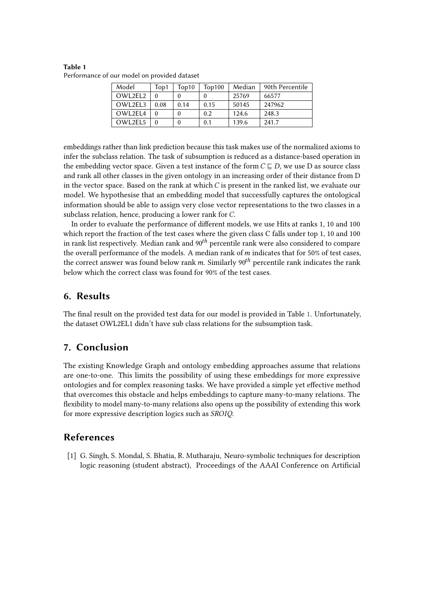| Model   | Top1 | Top10 | Top100 | Median | 90th Percentile |
|---------|------|-------|--------|--------|-----------------|
| OWL2EL2 |      |       |        | 25769  | 66577           |
| OWL2EL3 | 0.08 | 0.14  | 0.15   | 50145  | 247962          |
| OWL2EL4 |      |       | 0.2    | 124.6  | 248.3           |
| OWL2EL5 |      |       | 0.1    | 139.6  | 241.7           |

<span id="page-5-0"></span>**Table 1** Performance of our model on provided dataset

embeddings rather than link prediction because this task makes use of the normalized axioms to infer the subclass relation. The task of subsumption is reduced as a distance-based operation in the embedding vector space. Given a test instance of the form  $C \sqsubseteq D$ , we use D as source class and rank all other classes in the given ontology in an increasing order of their distance from D in the vector space. Based on the rank at which  $C$  is present in the ranked list, we evaluate our model. We hypothesise that an embedding model that successfully captures the ontological information should be able to assign very close vector representations to the two classes in a subclass relation, hence, producing a lower rank for C.

In order to evaluate the performance of different models, we use Hits at ranks 1, 10 and 100 which report the fraction of the test cases where the given class C falls under top 1, 10 and 100 in rank list respectively. Median rank and  $90<sup>th</sup>$  percentile rank were also considered to compare the overall performance of the models. A median rank of  $m$  indicates that for 50% of test cases, the correct answer was found below rank m. Similarly  $90<sup>th</sup>$  percentile rank indicates the rank below which the correct class was found for 90% of the test cases.

## **6. Results**

The final result on the provided test data for our model is provided in Table [1.](#page-5-0) Unfortunately, the dataset OWL2EL1 didn't have sub class relations for the subsumption task.

# **7. Conclusion**

The existing Knowledge Graph and ontology embedding approaches assume that relations are one-to-one. This limits the possibility of using these embeddings for more expressive ontologies and for complex reasoning tasks. We have provided a simple yet effective method that overcomes this obstacle and helps embeddings to capture many-to-many relations. The flexibility to model many-to-many relations also opens up the possibility of extending this work for more expressive description logics such as SROIQ.

## **References**

[1] G. Singh, S. Mondal, S. Bhatia, R. Mutharaju, Neuro-symbolic techniques for description logic reasoning (student abstract), Proceedings of the AAAI Conference on Artificial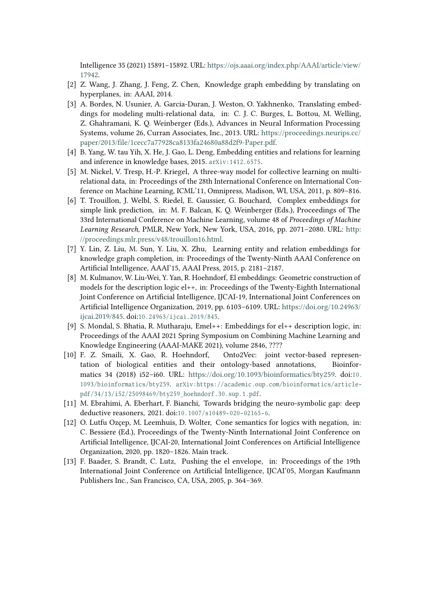Intelligence 35 (2021) 15891–15892. URL: [https://ojs.aaai.org/index.php/AAAI/article/view/](https://ojs.aaai.org/index.php/AAAI/article/view/17942) [17942.](https://ojs.aaai.org/index.php/AAAI/article/view/17942)

- <span id="page-6-6"></span>[2] Z. Wang, J. Zhang, J. Feng, Z. Chen, Knowledge graph embedding by translating on hyperplanes, in: AAAI, 2014.
- <span id="page-6-1"></span>[3] A. Bordes, N. Usunier, A. Garcia-Duran, J. Weston, O. Yakhnenko, Translating embeddings for modeling multi-relational data, in: C. J. C. Burges, L. Bottou, M. Welling, Z. Ghahramani, K. Q. Weinberger (Eds.), Advances in Neural Information Processing Systems, volume 26, Curran Associates, Inc., 2013. URL: [https://proceedings.neurips.cc/](https://proceedings.neurips.cc/paper/2013/file/1cecc7a77928ca8133fa24680a88d2f9-Paper.pdf) [paper/2013/file/1cecc7a77928ca8133fa24680a88d2f9-Paper.pdf.](https://proceedings.neurips.cc/paper/2013/file/1cecc7a77928ca8133fa24680a88d2f9-Paper.pdf)
- <span id="page-6-7"></span>[4] B. Yang, W. tau Yih, X. He, J. Gao, L. Deng, Embedding entities and relations for learning and inference in knowledge bases, 2015. arXiv: 1412.6575.
- [5] M. Nickel, V. Tresp, H.-P. Kriegel, A three-way model for collective learning on multirelational data, in: Proceedings of the 28th International Conference on International Conference on Machine Learning, ICML'11, Omnipress, Madison, WI, USA, 2011, p. 809–816.
- [6] T. Trouillon, J. Welbl, S. Riedel, E. Gaussier, G. Bouchard, Complex embeddings for simple link prediction, in: M. F. Balcan, K. Q. Weinberger (Eds.), Proceedings of The 33rd International Conference on Machine Learning, volume 48 of *Proceedings of Machine Learning Research*, PMLR, New York, New York, USA, 2016, pp. 2071–2080. URL: [http:](http://proceedings.mlr.press/v48/trouillon16.html) [//proceedings.mlr.press/v48/trouillon16.html.](http://proceedings.mlr.press/v48/trouillon16.html)
- [7] Y. Lin, Z. Liu, M. Sun, Y. Liu, X. Zhu, Learning entity and relation embeddings for knowledge graph completion, in: Proceedings of the Twenty-Ninth AAAI Conference on Artificial Intelligence, AAAI'15, AAAI Press, 2015, p. 2181–2187.
- <span id="page-6-2"></span>[8] M. Kulmanov, W. Liu-Wei, Y. Yan, R. Hoehndorf, El embeddings: Geometric construction of models for the description logic el++, in: Proceedings of the Twenty-Eighth International Joint Conference on Artificial Intelligence, IJCAI-19, International Joint Conferences on Artificial Intelligence Organization, 2019, pp. 6103–6109. URL: [https://doi.org/10.24963/](https://doi.org/10.24963/ijcai.2019/845) [ijcai.2019/845.](https://doi.org/10.24963/ijcai.2019/845) doi:10.24963/ijcai.2019/845.
- <span id="page-6-0"></span>[9] S. Mondal, S. Bhatia, R. Mutharaju, Emel++: Embeddings for el++ description logic, in: Proceedings of the AAAI 2021 Spring Symposium on Combining Machine Learning and Knowledge Engineering (AAAI-MAKE 2021), volume 2846, ????
- <span id="page-6-3"></span>[10] F. Z. Smaili, X. Gao, R. Hoehndorf, Onto2Vec: joint vector-based representation of biological entities and their ontology-based annotations, Bioinformatics 34 (2018) i52-i60. URL: [https://doi.org/10.1093/bioinformatics/bty259.](https://doi.org/10.1093/bioinformatics/bty259) doi:10. 1093/bioinformatics/bty259. arXiv:https://academic.oup.com/bioinformatics/articlepdf/34/13/i52/25098469/bty259 hoehndorf.30.sup.1.pdf.
- <span id="page-6-4"></span>[11] M. Ebrahimi, A. Eberhart, F. Bianchi, Towards bridging the neuro-symbolic gap: deep deductive reasoners, 2021. doi:10.1007/s10489-020-02165-6.
- <span id="page-6-5"></span>[12] O. Lutfu Ozçep, M. Leemhuis, D. Wolter, Cone semantics for logics with negation, in: C. Bessiere (Ed.), Proceedings of the Twenty-Ninth International Joint Conference on Artificial Intelligence, IJCAI-20, International Joint Conferences on Artificial Intelligence Organization, 2020, pp. 1820–1826. Main track.
- <span id="page-6-8"></span>[13] F. Baader, S. Brandt, C. Lutz, Pushing the el envelope, in: Proceedings of the 19th International Joint Conference on Artificial Intelligence, IJCAI'05, Morgan Kaufmann Publishers Inc., San Francisco, CA, USA, 2005, p. 364–369.